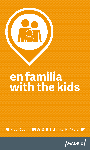# **en familia with the kids**

PARATIMADRIDFORYOUD

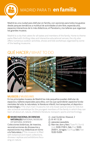

MADRID PARA TI **en familia**

Madrid es una ciudad para disfrutar en familia, con opciones para todos los gustos: desde parques temáticos a multitud de actividades al aire libre, espectáculos, espacios interactivos de lo más didácticos, el Planetario y los talleres que organizan los grandes museos.

Madrid is a city that caters for all tastes and members of the family. Home to theme parks filled with thrilling rides and interactive educational venues, the city also offers numerous outdoor activities, shows and kids workshops organised by some of the leading museums.

# QUÉ HACER / WHAT TO DO



#### **MUSEOS / MUSEUMS**

En los principales museos de Madrid los más pequeños pueden disfrutar de espacios y talleres especiales para ellos, con los que aprenderán aspectos fundamentales del arte, la naturaleza, la literatura infantil, los transportes, el deporte o la tecnología. / The city's main museums not only boast special areas for kids but also schedule workshops for the youngest members of the family in which they can learn all about art, nature, children's literature, transport, sports and technology.

**MUSEO NACIONAL DE CIENCIAS NATURALES / NATIONAL MUSEUM OF NATURAL SCIENCE** Colecciones botánicas, de insectos, reconstrucciones de dinosaurios y exposiciones muy didácticas en torno a la Naturaleza. / This museum is filled with botanical and insect collections dinosaur replicas and exhibitions focusing on nature.

- **José Gutiérrez Abascal, 2**
- **91 411 13 28**
- **GREGORIO MARAÑÓN**
- **Mar-vier, dom y fest / Tues-Fri, Sun &** Hols 10:00-17:00 h. Sáb / Sat 10:00- 20:00 h. Jul-agos / Jul-Aug: Sáb / Sat 10.00-15:00h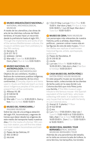#### **MUSEO ARQUEOLÓGICO NACIONAL / NATIONAL ARCHAEOLOGICAL MUSEUM**

A través de los utensilios y las obras de arte de las distintas culturas del Mediterráneo, el museo hace un recorrido desde la prehistoria hasta el siglo XIX. / Through the implements and works of art of the various Mediterranean cultures, the museum exhibits span from prehistory to the 19th century.

- Serrano, 13
- **891 577 79 12**
- SERRANO / RETIRO
- Mar-sáb / Tues-Sat 9:30-20:00 h Dom y fest / Sun & Hols 9:30-15:00 h

### **MUSEO NACIONAL DE**

**ANTROPOLOGÍA / NATIONAL MUSEUM OF ANTHROPOLOGY**

Objetos de uso cotidiano, rituales y festivos de numerosos pueblos indígenas, del pasado y el presente, de los cinco

continentes. / Everyday objects and items used in rituals and festivals teach us more about indigenous peoples of the past and present from all five continents.

- Alfonso XII, 68
- **8** 91 530 64 18
- **A ATOCHA**
- Mar-sáb / Tues-Sat 9:30-20:00 h. Dom y fest / Sun & Hols 10:00-15:00 h

#### *MUSEO DEL FERROCARRIL /*

**RAILWAY MUSEUM**

Sobre las vías de una antigua estación del siglo XIX, locomotoras y vagones de trenes que datan desde los orígenes de este medio de transporte hasta nuestros días. / On the tracks of a former 19th century train station, you will find the oldest and most modern locomotives and train carriages.

- Paseo de las Delicias, 61
- **82 302 22 88 22**
- **DELICIAS**

1 Oct-31 May: Lun-jue / Mon-Thur 9:30- 15:00 h. Vier-dom y fest / Fri-Sun & Hols 9:30-18:00 h. 1 Jun-30 Sept: Mar-dom / Tues-Sun 10:00-15:00 h

**G** MUSEO DE CERA / WAX MUSEUM Los personajes más relevantes de nuestra historia, junto a artistas, deportistas, políticos... parecen cobrar nueva vida en las figuras de cera de este museo. / Meet the lifelike wax replicas of well-known historical figures, artists, sportspeople, politicians…

- **Paseo de Recoletos, 41**
- **8** 91 319 93 30
- $\circledcirc$  colón
- Lun-vier / Mon-Fri 10:00-14:30 h & 16:30-20:30 h. Sáb-dom y fest / Sat-Sun & holidays 10:00-20:30 h

#### **CASA MUSEO DEL RATÓN PÉREZ /**

**RATÓN PÉREZ HOUSE MUSEUM** En este pequeño museo se recuerda al famoso ratón, coleccionista de los dientes de leche, justo en la casa donde Luis Coloma escribió que vivía Pérez junto a su familia. / This little museum pays tribute to the famous mouse –the Spanish equivalent of the tooth fairy– who loves collecting milk teeth. It is located in the very house that he lived in with his family in Luis Coloma's story.

- **Arenal, 8. 1ª planta / 1st floor**
- 8 91 522 69 68
- **OR** sol
- Lun / Mon 17:00-20:00 h. Mar-vier / Tues-Fri 11:00-14:00 h & 17:00-20:00 h. Sáb y fest / Sat & Hols 11:00-15:00 h & 16:00-20:00 h . Dom / Sun 12:00-15:00 h & 16:00-19:00 h

#### **MUSEO REAL MADRID: TOUR BERNABÉU / REAL MADRID MUSEUM: BERNABÉU TOUR**

Además de una panorámica del estadio, en la visita se conoce la sala de trofeos, la zona técnica, los banquillos, los túneles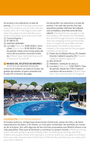#### de acceso a los vestuarios, la sala de

prensa... / As well as enjoying a panoramic view of the stadium, you can also visit the trophy room, sit in the dugout area, walk down the players' tunnel, feel like a journalist in the press room, and much more.

- Concha Espina, 1
- **8** 91 398 43 70
- SANTIAGO BERNABÉU
- Lun-sáb / Mon-Sat 10:00-19:00 h. Dom y fest / Sun & Hols 10:30-18:30 h. Días de partido: hasta cinco horas antes del inicio del encuentro, recorrido limitado. / Match days: restricted tours until 5 hours prior to kick-off.

**& MUSEO DEL ATLÉTICO DE MADRID / ATLÉTICO DE MADRID MUSEUM** Como en el anterior, se visita el museo, las gradas del estadio, el palco presidencial, la sala VIP, el terreno de juego,

los banquillos, los vestuarios y la sala de prensa. Y sin salir del recinto, los más pequeños pueden disfrutar de Indipark, una completa y divertida zona de ocio infantil. / During this tour you get to visit the museum, the stands, the President's Box, the VIP lounge, the pitch, the dugout area, the changing rooms and the press room. To make sure your little ones are entertained, the stadium also has an Indipark, a fun play area for the youngest members of the family.

- **Paseo de los Melancólicos, 69. Estadio** Vicente Calderón (puerta 23) / Vicente Calderón Stadium (gate 23)
- C 902 26 04 03
- **DE PIRÁMIDES / MARQUÉS DE VADILLO**
- Lun-dom / Mon-Sun 11:00-19:00 h. Días de partido, desde las 11:00 h hasta el comienzo del encuentro. / Match days: from 11am until the start of the game.



#### **DIVERSIÓN / ENTERTAINMENT**

Animales exóticos, vertiginosas atracciones mecánicas, pistas de hielo y de karts, espectáculos de teatro y de títeres, un cine para contemplar las estrellas sin moverse de la butaca. Son sólo algunas de las muchas propuestas que Madrid ofrece a los más pequeños. Para que se diviertan y conozcan su propio mundo. / Walking among exotic animals, going on gravity-defying rides, ice skating, go-karting, watching theatre and puppet shows and relaxing in a cinema where you can gaze at the stars from your seat are just some of the many child-friendly activities you can enjoy with your kids in Madrid.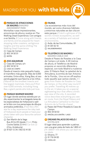MADRID FOR YOU **with the kids**



#### **PARQUE DE ATRACCIONES DE MADRID / MADRID**

**AMUSEMENT PARK** Montañas rusas impresionantes,

emociones de altura y sustos en The Walking Dead Experience. Con amigos o en familia. / Come along with friends and family and be prepared for heartstopping roller coasters, vertiginous heights and the spine-chilling The Walking Dead Experience.

- Casa de Campo
- **802 34 50 01**
- $\circledcirc$  BATÁN

#### **Z** ZOO AQUARIUM

- Casa de Campo, s/n
- **802 34 50 14**
- CASA DE CAMPO

Desde el insecto más pequeño hasta el mamífero más grande. Más de 6.000 animales. Entre ellos, Xiang Bao, el oso panda gigante que fascina a los niños.

/ Marvel at the smallest insects and the largest mammals. Here you'll find over 6,000 animals, including Xiang Bao, a giant panda who kids just love.

#### **PARQUE WARNER MADRID**

Un lugar donde sentirse estrella por un día, experimentar la arriesgada tarea de los especialistas de Hollywood o salir en la foto con tus personajes de dibujos animados preferidos. / Feel like a film star for a day, experience the risky task of Hollywood stunt people or have your photo taken with your favourite cartoon character.

- San Martín de la Vega Bus 412 & 413 desde / from Pinto Coche Salida 22 A-4 / Car Exit 22 (Ctra. Andalucía)
- **91 821 12 34 / 902 02 41 00**

#### **FAUNIA**

Los ecosistemas más ricos del mundo, así como diversos hábitats y entornos naturales se dan cita en este parque. / Catch a glimpse of the world's richest ecosystems, as well as a variety of habitats and natural environments.

- Avda. de las Comunidades, 28
- **8** 91 301 62 10
- **WALDEBERNARDO**

#### **C** TELEFÉRICO DE MADRID /

**MADRID CABLE CAR** Desde el Paseo de Rosales a la Casa de Campo o al revés. A 40 metros de altura, el Teleférico de Madrid propone un recorrido diferente y especial, con todo Madrid a nuestros pies. El Palacio Real, la catedral de la Almudena, la ermita de San Antonio de la Florida… Una voz en off explica todo aquello que vamos viendo. / It goes from Paseo de Rosales to Casa de Campo, or the other way round if you prefer. Travelling 40 metres up in the air, it takes you on a special sightseeing tour that offers a bird's eye view of the city. A recorded voice describes everything you see en route, from the Royal Palace and La Almudena Cathedral to the San Antonio de la Florida chapel.

- Paseo del Pintor Rosales & Casa de Campo
- **8** 902 34 50 02
- argüelles & batán / lago
- **C** DREAMS PALACIO DE HIELO /

**ICE PALACE**

El lugar ideal para aprender a patinar, con una gran pista de hielo de 1.800 m2 . / A 1.800m2 rink where you can learn to ice skate.

- Silvano, 77
- **8** 91 716 04 00
- CANILLAS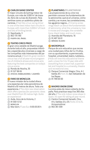#### **CARLOS SAINZ CENTER**

El mejor circuito de karting indoor de Europa, con más de 3.000 m<sup>2</sup> de trazado, lleno de curvas de diversión. Para sentirse como un auténtico piloto de carreras. / Feel like a true racing driver in one of the best indoor kart circuits in

Europe, with more than 3,000m<sup>2</sup> of track and lots of thrilling bends.

- Sepúlveda, 3
- **802 170 190**
- **PUERTA DEL ÁNGEL**

#### **8** TEATRO CIRCO PRICE

El gran circo estable de Madrid acoge, durante todo el año, propuestas infantiles y espectáculos circenses a cargo de las compañías más interesantes del panorama actual. / Madrid's great resident circus has a full all-year-round programme of children's shows and circus acts featuring the best companies on today's circus scene.

- Ronda de Atocha, 35
- 191 527 98 65

**Exercise ATOCHA / EMBAJADORES / LAVAPIÉS** 

#### **CFARO DE MONCLOA**

El nuevo mirador de la ciudad ofrece una espectacular vista panorámica de Madrid a 92 metros de altura. Toda una experiencia. / The city's new observation deck offers spectacular panoramic views over Madrid from 92 metres high. Quite an experience!

- Avda. Arco de la Victoria, 2
- **8** 91 550 12 52
- **MONCLOA**
- Mar-dom / Tues-Sun 9:30-20:30 h

#### **CO PLANETARIO / PLANETARIUM**

Las proyecciones de su cine nos permiten conocer los fundamentos de la astronomía: qué es el universo, cómo cambia y se mueve, las constelaciones, los agujeros negros... / Cinema screenings teach us about the fundamentals of astronomy: what the universe is, how it moves and changes, the constellations, black holes, and much more.

- Avenida del Planetario, 16
- **8** 91 467 34 61
- **MÉNDEZ ÁLVARO**

#### **MICROPOLIX**

Parque de ocio educativo que recrea una ciudad para niños de 5 a 13 años, con su ayuntamiento, supermercado, hospital, universidad, teatro, ludoteca... / Kids will love this educational theme park: a town for 5 to 13 year olds with everything from a town hall, supermarket and hospital to a university, theatre and recreational area.

- **Parque Comercial Alegra. Ctra. A-1,** Salida 20 / Exit 20. San Sebastián de los Reyes
- **8** 91 799 00 00

#### **MADRID SNOW ZONE**

La única pista de nieve cubierta de España. Para practicar esquí los 365 días del año. / The only indoor snow slope in Spain, it's open for skiing all year round.

- Centro Comercial Xanadú. Ctra. A-5, Salidas 22 y 25 / Exits 22 & 25. Arroyomolinos
- 1 902 361 309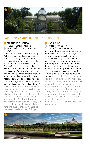

#### **PARQUES Y JARDINES / PARKS AND GARDENS**

#### **PARQUE DE EL RETIRO**

- Plaza de la Independencia
- retiro / príncipe de vergara / ibiza / **ATOCHA**

El Parque de El Retiro, creado en el siglo XVII como lugar de descanso para los monarcas, es el gran pulmón verde de la ciudad. Montar en las barcas del estanque que preside la estatua de Alfonso XII es una de las actividades favoritas de los madrileños. También de los más pequeños, que encuentran un sinfín de posibilidades para disfrutar en el parque: desde montar en bicicleta hasta asistir a uno de los espectáculos que tienen lugar en su Teatro de Títeres cada fin de semana (entrada gratuita). / Built in the 17th Century as a retreat for the monarchs, El Retiro Park is the city's green lung. Going for a boat ride on the lake, which is presided over by the statue of Alfonso XII, is a favourite pastime among Madrileños. The little ones are also big fans of this park, where they can do everything from riding their bikes to watching puppet shows which are held there every weekend, free of charge.

#### **MADRID RÍO**

**DIRÁMIDES / PRÍNCIPE PÍO** En Madrid Río se puede caminar, montar en bici, disfrutar de las zonas deportivas, de las áreas de juego infantiles -toboganes, tirolinas- e incluso de su playa urbana. No es una playa al uso: se trata de un conjunto formado por tres recintos ovalados donde, cuando aprieta el calor, uno no se puede bañar pero sí refrescarse gracias a los chorros de agua a diferente altura y a las nubes de agua pulverizada. / In Madrid Río you can walk, ride a bike, enjoy the sports facilities, let the kids loose in the children's play areas (with their slides and zip-lines) or just relax at the city beach. This is not a beach in the traditional sense: rather, it is a set of three oval-shaped areas where, although you may not be able to go for a swim, you will certainly be able to cool off thanks to the variable height water jets and the clouds of water vapour.